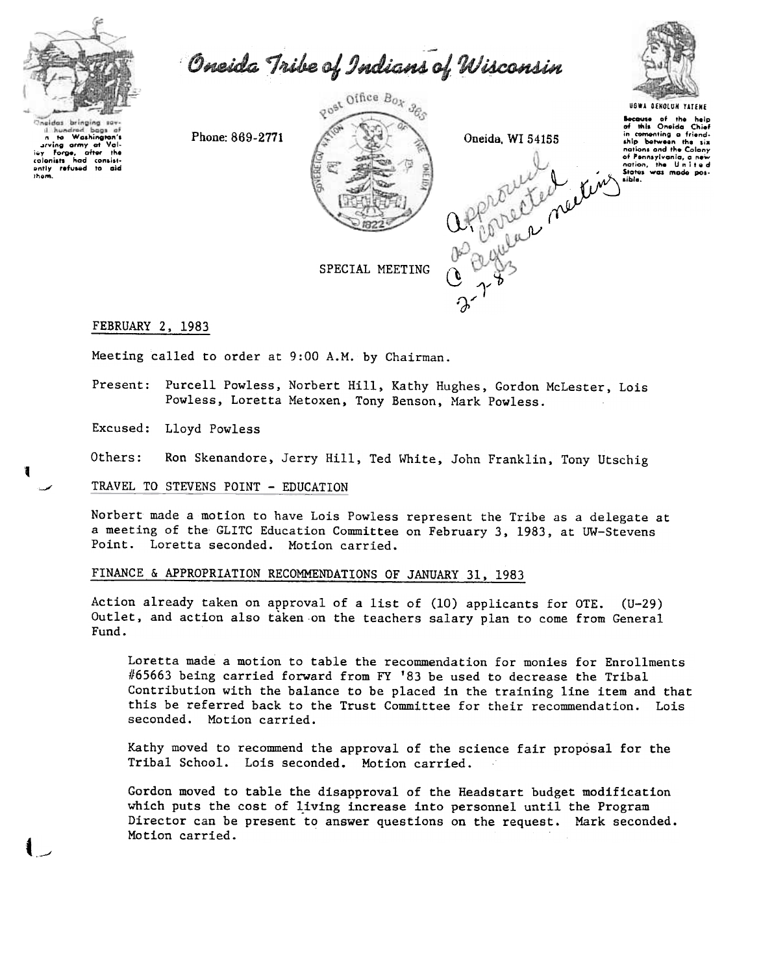

to Washington's The wasningens of Value of the colonists had consistently refused to aid

them.

1

Oneida Tribe of Indians of Wisconsin

Phone: 869-2771





## **UGWA DENOLUN YATFHF** ause of the help<br>this Oneida Chief in comenting a friend-<br>ship between the six nations and the Colony of Pennsylvania, a new

# FEBRUARY 2, 1983

Meeting called to order at 9:00 A.M. by Chairman.

Present: Purcell Powless, Norbert Hill, Kathy Hughes, Gordon McLester, Lois Powless, Loretta Metoxen, Tony Benson, Mark Powless.

Excused: Lloyd Powless

Ron Skenandore, Jerry Hill, Ted White, John Franklin, Tony Utschig Others:

#### TRAVEL TO STEVENS POINT - EDUCATION

Norbert made a motion to have Lois Powless represent the Tribe as a delegate at a meeting of the GLITC Education Committee on February 3, 1983, at UW-Stevens Point. Loretta seconded. Motion carried.

### FINANCE & APPROPRIATION RECOMMENDATIONS OF JANUARY 31, 1983

Action already taken on approval of a list of (10) applicants for OTE.  $(U-29)$ Outlet, and action also taken on the teachers salary plan to come from General Fund.

Loretta made a motion to table the recommendation for monies for Enrollments #65663 being carried forward from FY '83 be used to decrease the Tribal Contribution with the balance to be placed in the training line item and that this be referred back to the Trust Committee for their recommendation. Lois seconded. Motion carried.

Kathy moved to recommend the approval of the science fair proposal for the Tribal School. Lois seconded. Motion carried.

Gordon moved to table the disapproval of the Headstart budget modification which puts the cost of living increase into personnel until the Program Director can be present to answer questions on the request. Mark seconded. Motion carried.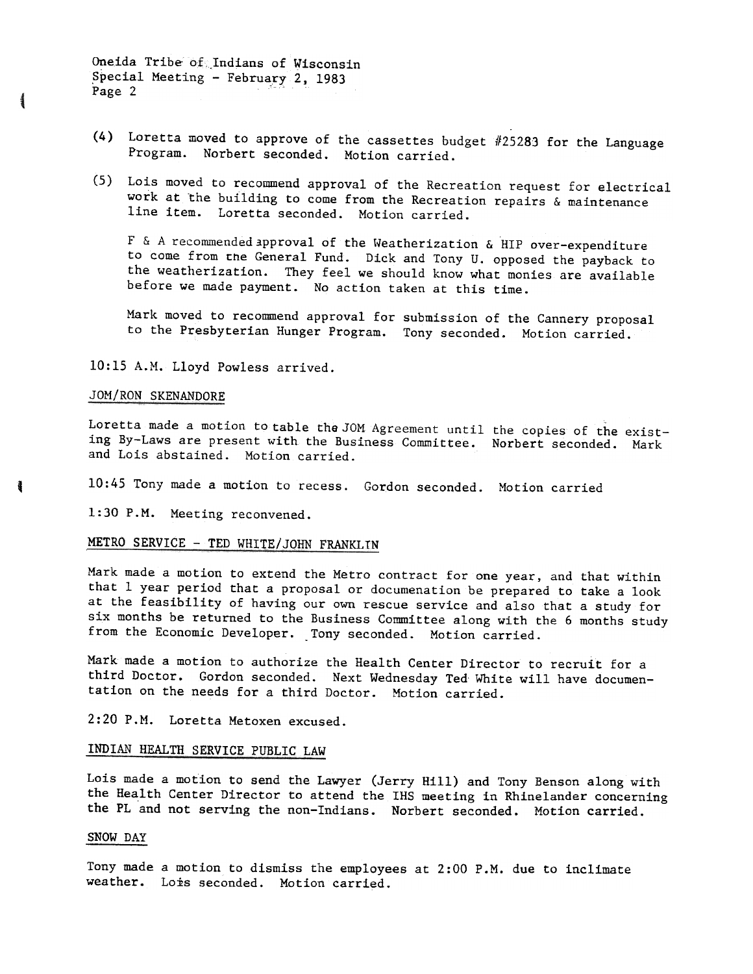Oneida Tribe" of.Indians of Wisconsin Special Meeting - February 2, 1983<br>Page 2

- (4) Loretta moved to approve of the cassettes budget  $#25283$  for the Language Program. Norbert seconded. Motion carried.
- (5) Lois moved to recommend approval of the Recreation request for electrical work at the building to come from the Recreation repairs & maintenance line item. Loretta seconded. Motion carried.

F & A recommended approval of the Weatherization & HIP over-expenditure to come from Che General Fund. Dick and Tony U. opposed the payback to the weatherization. They feel we should know what monies are available before we made payment. No action taken at this time.

Mark moved to recommend approval for submission of the Cannery proposal to the Presbyterian Hunger Program. Tony seconded. Motion carried.

10:15 A.M. Lloyd Powless arrived.

#### JOM/RON SKENANDORE

Ŧ

Loretta made a motion to table the JOM Agreement until the copies of the existing By-Laws are present with the Business Committee. Norbert seconded. Mark and Lois abstained. Motion carried.

10:45 Tony made a motion to recess. Gordon seconded. Motion carried

1:30 P.M. Meeting reconvened.

# METRO SERVICE - TED WHITE/JOHN FRANKLIN

Mark made a motion to extend the Metro contract for one year, and that within that 1 year period that a proposal or documenation be prepared to take a look at the feasibility of having our own rescue service and also that a study for six months be returned to the Business Committee along with the 6 months study from the Economic Developer. Tony seconded. Motion carried.

Mark made a motion to authorize the Health Center Director to recruit for a third Doctor. Gordon seconded. Next Wednesday Ted White will have documentation on the needs for a third Doctor. Motion carried.

2:20 P.M. Loretta Metoxen excused.

### INDIAN HEALTH SERVICE PUBLIC LAW

Lois made a motion to send the Lawyer (Jerry Hill) and Tony Benson along with the Health Center Director to attend the IHS meeting in Rhinelander concerning the PL and not serving the non-Indians. Norbert seconded. Motion carried.

#### SNOW DAY

Tony made a motion to dismiss the employees at  $2:00$  P.M. due to inclimate weather. Lois seconded. Motion carried.